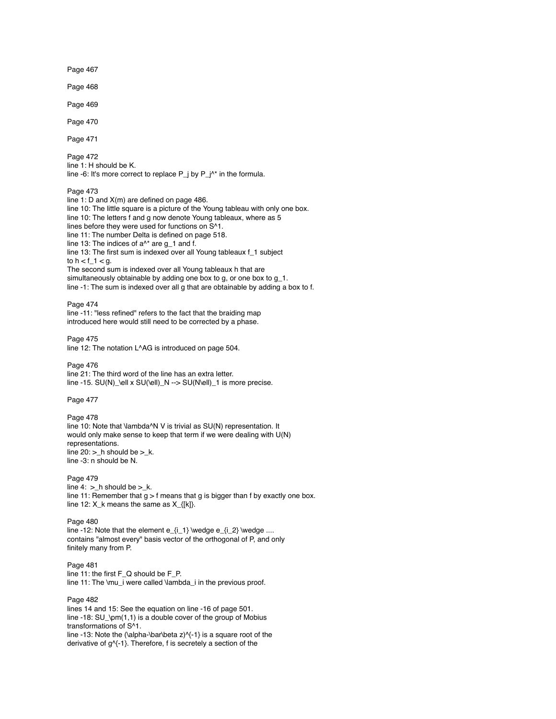Page 467

Page 468

Page 469

Page 470

Page 471

Page 472 line 1: H should be K. line -6: It's more correct to replace P\_j by P\_j^\* in the formula.

#### Page 473

line 1: D and X(m) are defined on page 486. line 10: The little square is a picture of the Young tableau with only one box. line 10: The letters f and g now denote Young tableaux, where as 5 lines before they were used for functions on S^1. line 11: The number Delta is defined on page 518. line 13: The indices of  $a^{\wedge *}$  are g\_1 and f. line 13: The first sum is indexed over all Young tableaux f\_1 subject to  $h < f_1 < g$ . The second sum is indexed over all Young tableaux h that are simultaneously obtainable by adding one box to g, or one box to g\_1. line -1: The sum is indexed over all g that are obtainable by adding a box to f.

Page 474 line -11: "less refined" refers to the fact that the braiding map introduced here would still need to be corrected by a phase.

Page 475 line 12: The notation L^AG is introduced on page 504.

#### Page 476

line 21: The third word of the line has an extra letter. line -15. SU(N)\_\ell x SU(\ell)\_N --> SU(N\ell)\_1 is more precise.

Page 477

Page 478 line 10: Note that \lambda^N V is trivial as SU(N) representation. It would only make sense to keep that term if we were dealing with U(N) representations. line  $20:$  > h should be > k. line -3: n should be N.

# Page 479

line  $4:$  > h should be > k. line 11: Remember that  $g > f$  means that g is bigger than f by exactly one box. line 12: X\_k means the same as X\_{[k]}.

Page 480

line -12: Note that the element e\_{i\_1} \wedge e\_{i\_2} \wedge .... contains "almost every" basis vector of the orthogonal of P, and only finitely many from P.

Page 481 line 11: the first F\_Q should be F\_P. line 11: The \mu\_i were called \lambda\_i in the previous proof.

## Page 482

lines 14 and 15: See the equation on line -16 of page 501. line -18: SU\_\pm(1,1) is a double cover of the group of Mobius transformations of S^1. line -13: Note the (\alpha-\bar\beta z) $\$  -1} is a square root of the

derivative of g^{-1}. Therefore, f is secretely a section of the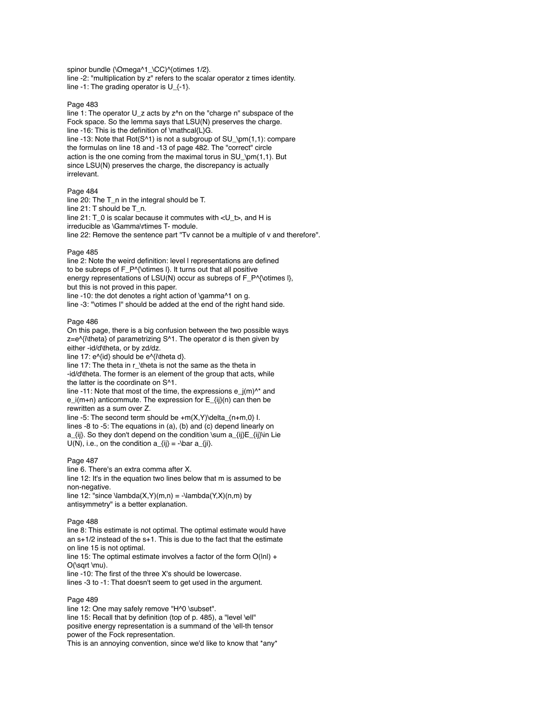spinor bundle (\Omega^1\_\CC)^{otimes 1/2}. line -2: "multiplication by z" refers to the scalar operator z times identity. line -1: The grading operator is  $U_{-}$ {-1}.

## Page 483

line 1: The operator U  $\bar{z}$  acts by  $z^2$ n on the "charge n" subspace of the Fock space. So the lemma says that LSU(N) preserves the charge. line -16: This is the definition of \mathcal{L}G. line -13: Note that Rot(S^1) is not a subgroup of SU\_\pm(1,1): compare the formulas on line 18 and -13 of page 482. The "correct" circle action is the one coming from the maximal torus in SU\_\pm(1,1). But since LSU(N) preserves the charge, the discrepancy is actually irrelevant.

### Page 484

line 20: The T\_n in the integral should be T. line 21: T should be T\_n. line 21: T\_0 is scalar because it commutes with <U\_t>, and H is irreducible as \Gamma\rtimes T- module. line 22: Remove the sentence part "Tv cannot be a multiple of v and therefore".

### Page 485

line 2: Note the weird definition: level l representations are defined to be subreps of F\_P^{\otimes l}. It turns out that all positive energy representations of LSU(N) occur as subreps of F\_P^{\otimes l}, but this is not proved in this paper. line -10: the dot denotes a right action of \gamma^1 on g.

line -3: "\otimes I" should be added at the end of the right hand side.

#### Page 486

On this page, there is a big confusion between the two possible ways z=e^{i\theta} of parametrizing S^1. The operator d is then given by either -id/d\theta, or by zd/dz.

line 17:  $e^{i\theta}$  should be  $e^{i\theta}$  should be  $e^{i\theta}$ . line 17: The theta in r\_\theta is not the same as the theta in -id/d\theta. The former is an element of the group that acts, while the latter is the coordinate on S^1.

line -11: Note that most of the time, the expressions  $e_j(m)^{A*}$  and e\_i(m+n) anticommute. The expression for E\_{ij}(n) can then be rewritten as a sum over Z.

line -5: The second term should be  $+m(X,Y)$  delta  $(n+m,0)$  I. lines -8 to -5: The equations in (a), (b) and (c) depend linearly on a\_{ij}. So they don't depend on the condition \sum a\_{ij}E\_{ij}\in Lie  $U(N)$ , i.e., on the condition  $a_{ij} = -\bar{a}_{ij}$ .

#### Page 487

line 6. There's an extra comma after X.

line 12: It's in the equation two lines below that m is assumed to be non-negative.

line 12: "since  $\lambda(X,Y)(m,n) = -\lambda(X,Y)(n,m)$  by antisymmetry" is a better explanation.

#### Page 488

line 8: This estimate is not optimal. The optimal estimate would have an s+1/2 instead of the s+1. This is due to the fact that the estimate on line 15 is not optimal.

line 15: The optimal estimate involves a factor of the form  $O(lnl) +$ O(\sqrt \mu).

line -10: The first of the three X's should be lowercase. lines -3 to -1: That doesn't seem to get used in the argument.

### Page 489

line 12: One may safely remove "H^0 \subset". line 15: Recall that by definition (top of p. 485), a "level \ell" positive energy representation is a summand of the \ell-th tensor power of the Fock representation.

This is an annoying convention, since we'd like to know that \*any\*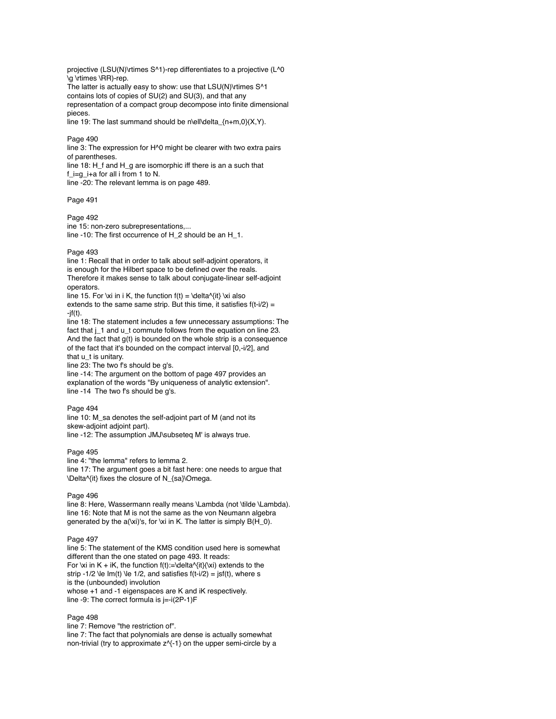projective (LSU(N)\rtimes S^1)-rep differentiates to a projective (L^0 \g \rtimes \RR)-rep.

The latter is actually easy to show: use that LSU(N)\rtimes S^1 contains lots of copies of SU(2) and SU(3), and that any representation of a compact group decompose into finite dimensional pieces.

line 19: The last summand should be n\ell\delta\_{n+m,0}(X,Y).

### Page 490

line 3: The expression for H^0 might be clearer with two extra pairs of parentheses. line 18: H\_f and H\_g are isomorphic iff there is an a such that

f\_i=g\_i+a for all i from 1 to N. line -20: The relevant lemma is on page 489.

#### Page 491

#### Page 492

ine 15: non-zero subrepresentations,... line -10: The first occurrence of H\_2 should be an H\_1.

#### Page 493

line 1: Recall that in order to talk about self-adjoint operators, it is enough for the Hilbert space to be defined over the reals. Therefore it makes sense to talk about conjugate-linear self-adjoint operators.

line 15. For \xi in i K, the function  $f(t) = \delta^{(t)} \times i$  also extends to the same same strip. But this time, it satisfies  $f(t-i/2) =$  $-jf(t)$ .

line 18: The statement includes a few unnecessary assumptions: The fact that j\_1 and u\_t commute follows from the equation on line 23. And the fact that g(t) is bounded on the whole strip is a consequence of the fact that it's bounded on the compact interval [0,-i/2], and that u\_t is unitary.

line 23: The two f's should be g's.

line -14: The argument on the bottom of page 497 provides an explanation of the words "By uniqueness of analytic extension". line -14 The two f's should be g's.

### Page 494

line 10: M\_sa denotes the self-adjoint part of M (and not its skew-adjoint adjoint part). line -12: The assumption JMJ\subseteq M' is always true.

#### Page 495

line 4: "the lemma" refers to lemma 2. line 17: The argument goes a bit fast here: one needs to argue that \Delta^{it} fixes the closure of N\_{sa}\Omega.

#### Page 496

line 8: Here, Wassermann really means \Lambda (not \tilde \Lambda). line 16: Note that M is not the same as the von Neumann algebra generated by the  $a(x_i)$ 's, for \xi in K. The latter is simply  $B(H_0)$ .

## Page 497

line 5: The statement of the KMS condition used here is somewhat different than the one stated on page 493. It reads: For \xi in K + iK, the function  $f(t) := \delta^{(t)}(\x)$  extends to the strip -1/2  $\text{Re Im}(t)$   $\text{Re } 1/2$ , and satisfies  $f(t-i/2) = jsf(t)$ , where s is the (unbounded) involution whose +1 and -1 eigenspaces are K and iK respectively. line -9: The correct formula is j=-i(2P-1)F

### Page 498

line 7: Remove "the restriction of". line 7: The fact that polynomials are dense is actually somewhat non-trivial (try to approximate z^{-1} on the upper semi-circle by a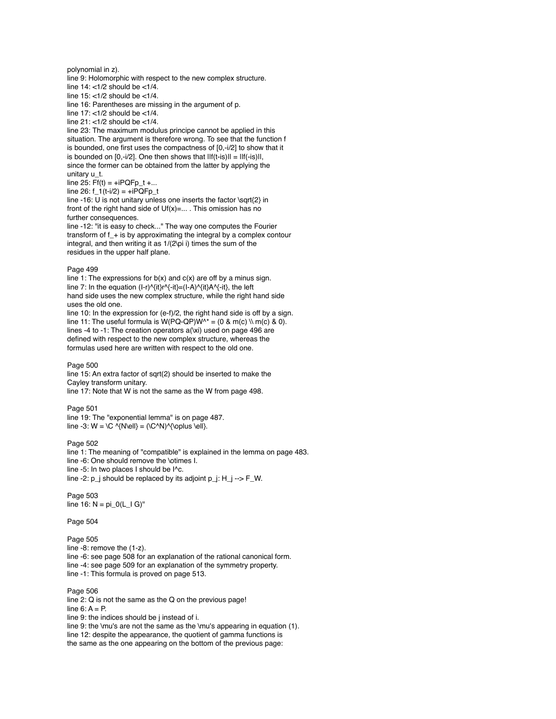polynomial in z). line 9: Holomorphic with respect to the new complex structure.

line  $14:$  <1/2 should be <1/4.

line 15: <1/2 should be <1/4.

line 16: Parentheses are missing in the argument of p.

line  $17:$  <1/2 should be  $\lt1/4$ .

line 21: <1/2 should be <1/4.

line 23: The maximum modulus principe cannot be applied in this situation. The argument is therefore wrong. To see that the function f is bounded, one first uses the compactness of [0,-i/2] to show that it is bounded on  $[0,-i/2]$ . One then shows that  $||f(t-is)|| = ||f(-is)||$ , since the former can be obtained from the latter by applying the unitary u\_t.

 $line 25: Ff(t) = +iPQFp_t + ...$ 

 $line 26: f_1(t-i/2) = +iPQFp_t$ 

line -16: U is not unitary unless one inserts the factor \sqrt{2} in front of the right hand side of Uf(x)=... . This omission has no further consequences.

line -12: "it is easy to check..." The way one computes the Fourier transform of f\_+ is by approximating the integral by a complex contour integral, and then writing it as 1/(2\pi i) times the sum of the residues in the upper half plane.

### Page 499

line 1: The expressions for  $b(x)$  and  $c(x)$  are off by a minus sign. line 7: In the equation  $(I-r)^{\prime}(it)r^{\prime}(i) = (I-A)^{\prime}(it)A^{\prime}(i)$ , the left hand side uses the new complex structure, while the right hand side uses the old one.

line 10: In the expression for (e-f)/2, the right hand side is off by a sign. line 11: The useful formula is  $W(PQ-QP)W^* = (0 \& m(c) \setminus m(c) \& 0)$ . lines -4 to -1: The creation operators a(\xi) used on page 496 are defined with respect to the new complex structure, whereas the formulas used here are written with respect to the old one.

### Page 500

line 15: An extra factor of sqrt(2) should be inserted to make the Cayley transform unitary.

line 17: Note that W is not the same as the W from page 498.

### Page 501

line 19: The "exponential lemma" is on page 487. line -3:  $W = \setminus C \setminus \{N\ell\} = (\setminus C \setminus \setminus \setminus \setminus \setminus \ell\}$ .

# Page 502

line 1: The meaning of "compatible" is explained in the lemma on page 483. line -6: One should remove the \otimes I. line -5: In two places I should be I^c. line -2:  $p_i$  should be replaced by its adjoint  $p_i$ :  $H_i$  ->  $F_N$ .

Page 503  $line 16: N = pi_0(L_1 G)^"$ 

Page 504

Page 505 line -8: remove the (1-z). line -6: see page 508 for an explanation of the rational canonical form. line -4: see page 509 for an explanation of the symmetry property. line -1: This formula is proved on page 513.

Page 506 line 2: Q is not the same as the Q on the previous page! line  $6: A = P$ . line 9: the indices should be j instead of i. line 9: the \mu's are not the same as the \mu's appearing in equation (1). line 12: despite the appearance, the quotient of gamma functions is the same as the one appearing on the bottom of the previous page: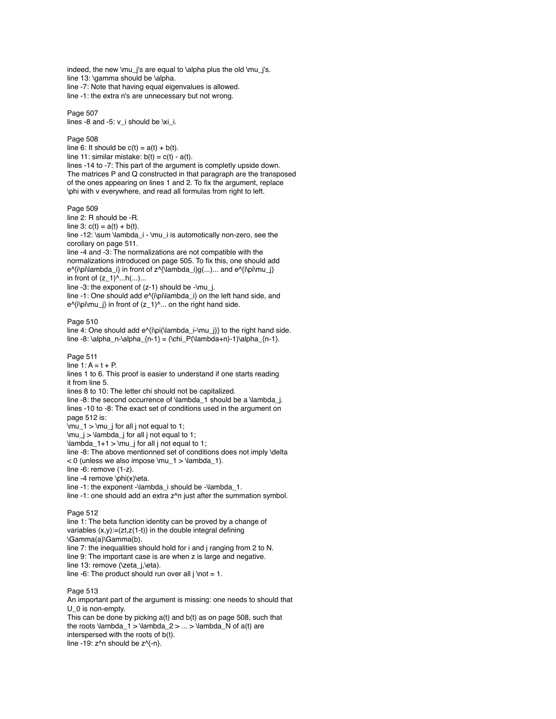indeed, the new \mu\_j's are equal to \alpha plus the old \mu\_j's. line 13: \gamma should be \alpha. line -7: Note that having equal eigenvalues is allowed. line -1: the extra n's are unnecessary but not wrong. Page 507 lines -8 and -5: v\_i should be \xi\_i. Page 508 line 6: It should be  $c(t) = a(t) + b(t)$ . line 11: similar mistake:  $b(t) = c(t) - a(t)$ . lines -14 to -7: This part of the argument is completly upside down. The matrices P and Q constructed in that paragraph are the transposed of the ones appearing on lines 1 and 2. To fix the argument, replace \phi with v everywhere, and read all formulas from right to left. Page 509 line 2: R should be -R. line 3:  $c(t) = a(t) + b(t)$ . line -12: \sum \lambda\_i - \mu\_i is automotically non-zero, see the corollary on page 511. line -4 and -3: The normalizations are not compatible with the normalizations introduced on page 505. To fix this, one should add e^{i\pi\lambda\_i} in front of z^{\lambda\_i}g(...)... and e^{i\pi\mu\_j} in front of  $(z_1)^{\wedge}...h(...)...$ 

line  $-3$ : the exponent of  $(z-1)$  should be  $-\mu$  i.

line -1: One should add e^{i\pi\lambda\_i} on the left hand side, and  $e^{\lambda}$ [ $\phi$ ] in front of  $(z_1)^{\lambda}$ ... on the right hand side.

### Page 510

line 4: One should add e^{i\pi(\lambda\_i-\mu\_j)} to the right hand side. line -8: \alpha\_n-\alpha\_{n-1} = (\chi\_P(\lambda+n)-1)\alpha\_{n-1}.

Page 511 line  $1: A = t + P$ .

lines 1 to 6. This proof is easier to understand if one starts reading it from line 5. lines 8 to 10: The letter chi should not be capitalized. line -8: the second occurrence of \lambda\_1 should be a \lambda\_j. lines -10 to -8: The exact set of conditions used in the argument on page 512 is:  $\mu_1 > \mu_j$  for all j not equal to 1; \mu\_j > \lambda\_j for all j not equal to 1;  $\lambda_1+1 > \mu_j$  for all j not equal to 1; line -8: The above mentionned set of conditions does not imply \delta  $<$  0 (unless we also impose \mu\_1 > \lambda\_1). line -6: remove (1-z). line -4 remove \phi(x)\eta. line -1: the exponent -\lambda\_i should be -\lambda\_1. line -1: one should add an extra z^n just after the summation symbol. Page 512

line 1: The beta function identity can be proved by a change of variables  $(x,y) := (zt, z(1-t))$  in the double integral defining \Gamma(a)\Gamma(b). line 7: the inequalities should hold for i and j ranging from 2 to N. line 9: The important case is are when z is large and negative. line 13: remove (\zeta\_j,\eta). line -6: The product should run over all j \not = 1.

### Page 513

An important part of the argument is missing: one needs to should that U\_0 is non-empty. This can be done by picking a(t) and b(t) as on page 508, such that the roots  $\lambda_1 > \lambda_2 > ... > \lambda_N$  of a(t) are interspersed with the roots of b(t). line -19:  $z^2n$  should be  $z^2-n$ .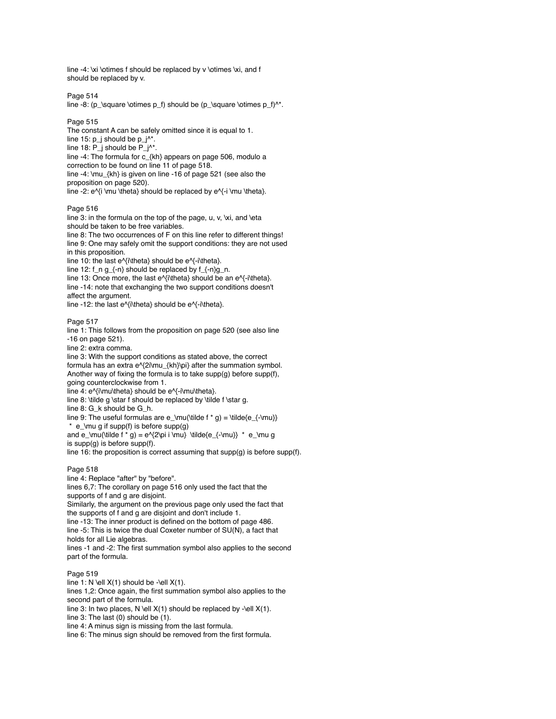line -4: \xi \otimes f should be replaced by v \otimes \xi, and f should be replaced by v.

Page 514

line -8: (p\_\square \otimes  $p_f$ ) should be (p\_\square \otimes  $p_f$ )<sup> $\star$ </sup>.

Page 515

The constant A can be safely omitted since it is equal to 1. line 15:  $p_i$  should be  $p_i^*$ . line 18: P\_j should be P\_j^\*. line -4: The formula for c\_{kh} appears on page 506, modulo a correction to be found on line 11 of page 518. line -4: \mu\_{kh} is given on line -16 of page 521 (see also the proposition on page 520). line -2:  $e^i$  \mu \theta} should be replaced by  $e^i$ -i \mu \theta}.

Page 516

line 3: in the formula on the top of the page, u, v, \xi, and \eta should be taken to be free variables.

line 8: The two occurrences of F on this line refer to different things! line 9: One may safely omit the support conditions: they are not used in this proposition.

line 10: the last e^{i\theta} should be e^{-i\theta}.

line 12: f\_n g\_{-n} should be replaced by f\_{-n}g\_n.

line 13: Once more, the last  $e^{\lambda}$  interal should be an  $e^{\lambda}$ -intheta). line -14: note that exchanging the two support conditions doesn't affect the argument.

line -12: the last e^{i\theta} should be e^{-i\theta}.

Page 517

line 1: This follows from the proposition on page 520 (see also line -16 on page 521).

line 2: extra comma.

line 3: With the support conditions as stated above, the correct formula has an extra e^{2i\mu\_{kh}\pi} after the summation symbol. Another way of fixing the formula is to take supp(g) before supp(f), going counterclockwise from 1.

 $line 4$ :  $e^{\frac{\lambda}{i}}$  e $\frac{\lambda}{i}$  should be  $e^{\lambda}$ -i $\lambda$ mu $\theta$ theta $\lambda$ . line 8: \tilde g \star f should be replaced by \tilde f \star g.

line 8: G\_k should be G\_h.

line 9: The useful formulas are e\_\mu(\tilde f  $*$  g) = \tilde{e\_{-\mu}}  $*$  e\_\mu g if supp(f) is before supp(g)

and e\_\mu(\tilde f \* g) = e^{2\pi i \mu} \tilde{e\_{-\mu}} \* e\_\mu g is supp(g) is before supp(f).

line 16: the proposition is correct assuming that supp(g) is before supp(f).

# Page 518

line 4: Replace "after" by "before". lines 6,7: The corollary on page 516 only used the fact that the supports of f and g are disjoint. Similarly, the argument on the previous page only used the fact that the supports of f and g are disjoint and don't include 1. line -13: The inner product is defined on the bottom of page 486. line -5: This is twice the dual Coxeter number of SU(N), a fact that holds for all Lie algebras. lines -1 and -2: The first summation symbol also applies to the second part of the formula.

### Page 519

line 1: N \ell  $X(1)$  should be -\ell  $X(1)$ . lines 1,2: Once again, the first summation symbol also applies to the second part of the formula. line 3: In two places, N \ell  $X(1)$  should be replaced by -\ell  $X(1)$ . line 3: The last (0) should be (1). line 4: A minus sign is missing from the last formula. line 6: The minus sign should be removed from the first formula.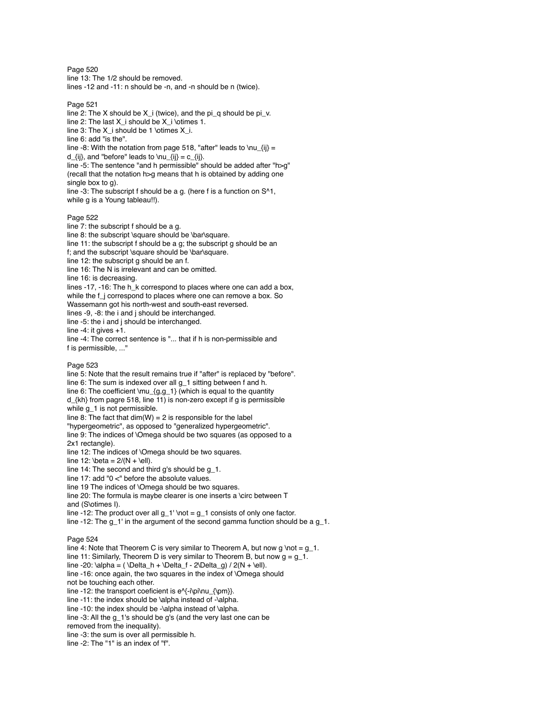Page 520 line 13: The 1/2 should be removed. lines -12 and -11: n should be -n, and -n should be n (twice).

Page 521

line 2: The X should be  $X_i$  (twice), and the pi\_q should be pi\_v. line 2: The last X\_i should be X\_i \otimes 1. line 3: The X i should be 1 \otimes X i. line 6: add "is the". line -8: With the notation from page 518, "after" leads to \nu\_{ij} = d  $\{ii\}$ , and "before" leads to  $\nu_{ij} = c_{ij}.$ line -5: The sentence "and h permissible" should be added after "h>g" (recall that the notation h>g means that h is obtained by adding one single box to g). line -3: The subscript f should be a g. (here f is a function on S^1, while g is a Young tableau!!). Page 522

line 7: the subscript f should be a g. line 8: the subscript \square should be \bar\square. line 11: the subscript f should be a g; the subscript g should be an f; and the subscript \square should be \bar\square. line 12: the subscript g should be an f. line 16: The N is irrelevant and can be omitted. line 16: is decreasing. lines -17, -16: The h k correspond to places where one can add a box, while the f\_j correspond to places where one can remove a box. So Wassemann got his north-west and south-east reversed. lines -9, -8: the i and j should be interchanged. line -5: the i and j should be interchanged. line -4: it gives +1. line -4: The correct sentence is "... that if h is non-permissible and

### Page 523

f is permissible, ..."

line 5: Note that the result remains true if "after" is replaced by "before". line 6: The sum is indexed over all g\_1 sitting between f and h. line 6: The coefficient \mu\_{g,g\_1} (which is equal to the quantity d\_{kh} from pagre 518, line 11) is non-zero except if g is permissible while g\_1 is not permissible. line 8: The fact that  $dim(W) = 2$  is responsible for the label "hypergeometric", as opposed to "generalized hypergeometric". line 9: The indices of \Omega should be two squares (as opposed to a 2x1 rectangle). line 12: The indices of \Omega should be two squares. line 12:  $beta = 2/(N + \ell)$ . line 14: The second and third g's should be g\_1. line 17: add "0 <" before the absolute values. line 19 The indices of \Omega should be two squares. line 20: The formula is maybe clearer is one inserts a \circ between T and (S\otimes I). line -12: The product over all  $q_1' \not\to q_1$  consists of only one factor.

line -12: The  $g_1$ ' in the argument of the second gamma function should be a  $g_1$ .

### Page 524

line 4: Note that Theorem C is very similar to Theorem A, but now q \not = q\_1. line 11: Similarly, Theorem D is very similar to Theorem B, but now  $q = q_1$ . line -20:  $\alpha = (\Delta_h + \Delta_f - 2\Delta_g)/2(N + \ell).$ line -16: once again, the two squares in the index of \Omega should not be touching each other. line -12: the transport coeficient is  $e^{(-i\pi\cdot\ln\frac{\omega}{\omega})}$ . line -11: the index should be \alpha instead of -\alpha. line -10: the index should be -\alpha instead of \alpha. line -3: All the g\_1's should be g's (and the very last one can be removed from the inequality). line -3: the sum is over all permissible h. line -2: The "1" is an index of "f".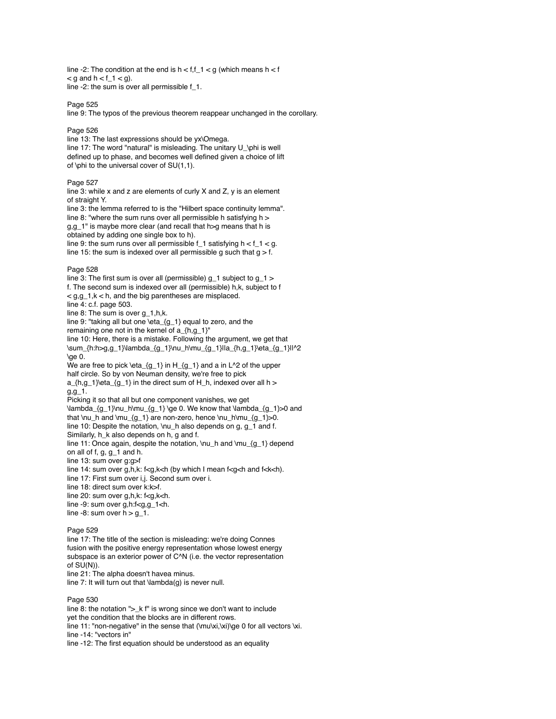line -2: The condition at the end is  $h < f$ ,  $f_1 < g$  (which means  $h < f$  $\leq$  g and h  $\leq$  f  $-1$   $\leq$  g). line -2: the sum is over all permissible f\_1.

Page 525

line 9: The typos of the previous theorem reappear unchanged in the corollary.

## Page 526

line 13: The last expressions should be yx\Omega. line 17: The word "natural" is misleading. The unitary U\_\phi is well defined up to phase, and becomes well defined given a choice of lift of \phi to the universal cover of  $SU(1,1)$ .

## Page 527

line 3: while x and z are elements of curly X and Z, y is an element of straight Y.

line 3: the lemma referred to is the "Hilbert space continuity lemma". line 8: "where the sum runs over all permissible h satisfying h > g,g\_1" is maybe more clear (and recall that h>g means that h is obtained by adding one single box to h).

line 9: the sum runs over all permissible  $f_1$  satisfying  $h < f_1 < g$ . line 15: the sum is indexed over all permissible g such that  $g > f$ .

### Page 528

line 3: The first sum is over all (permissible)  $g_1$  subject to  $g_1$  > f. The second sum is indexed over all (permissible) h,k, subject to f  $<$  g,g\_1,k  $<$  h, and the big parentheses are misplaced. line 4: c.f. page 503. line 8: The sum is over g\_1,h,k. line 9: "taking all but one \eta {g\_1} equal to zero, and the remaining one not in the kernel of a\_{h,g\_1}" line 10: Here, there is a mistake. Following the argument, we get that \sum\_{h:h>g,g\_1}\lambda\_{g\_1}\nu\_h\mu\_{g\_1}|la\_{h,g\_1}\eta\_{g\_1}||^2  $\alpha$ e 0. We are free to pick \eta\_ ${g_1}$  in H\_ ${g_1}$  and a in L^2 of the upper half circle. So by von Neuman density, we're free to pick a\_{h,g\_1}\eta\_{g\_1} in the direct sum of H\_h, indexed over all h >  $g, g_1$ 1. Picking it so that all but one component vanishes, we get \lambda\_{g\_1}\nu\_h\mu\_{g\_1} \ge 0. We know that \lambda\_{g\_1}>0 and that \nu\_h and \mu\_ ${g_1}$  are non-zero, hence \nu\_h\mu\_ ${g_1}$ >0. line 10: Despite the notation, \nu\_h also depends on g, g\_1 and f. Similarly, h\_k also depends on h, g and f. line 11: Once again, despite the notation, \nu\_h and \mu\_{g\_1} depend on all of  $f$ ,  $g$ ,  $g$ \_1 and  $h$ . line 13: sum over g:g>f line 14: sum over  $g,h,k: f\leq g,k\leq h$  (by which I mean  $f\leq g\leq h$  and  $f\leq k\leq h$ ). line 17: First sum over i,j. Second sum over i.

line 18: direct sum over k:k>f.

line 20: sum over g,h,k: f<g,k<h.

- line -9: sum over g,h:f<g,g\_1<h.
- line -8: sum over  $h > g_1$ .

### Page 529

line 17: The title of the section is misleading: we're doing Connes fusion with the positive energy representation whose lowest energy subspace is an exterior power of C<sup>^</sup>N (i.e. the vector representation of SU(N)). line 21: The alpha doesn't havea minus.

line 7: It will turn out that \lambda(g) is never null.

## Page 530

line 8: the notation ">\_k f" is wrong since we don't want to include yet the condition that the blocks are in different rows. line 11: "non-negative" in the sense that (\mu\xi,\xi)\ge 0 for all vectors \xi. line -14: "vectors in" line -12: The first equation should be understood as an equality